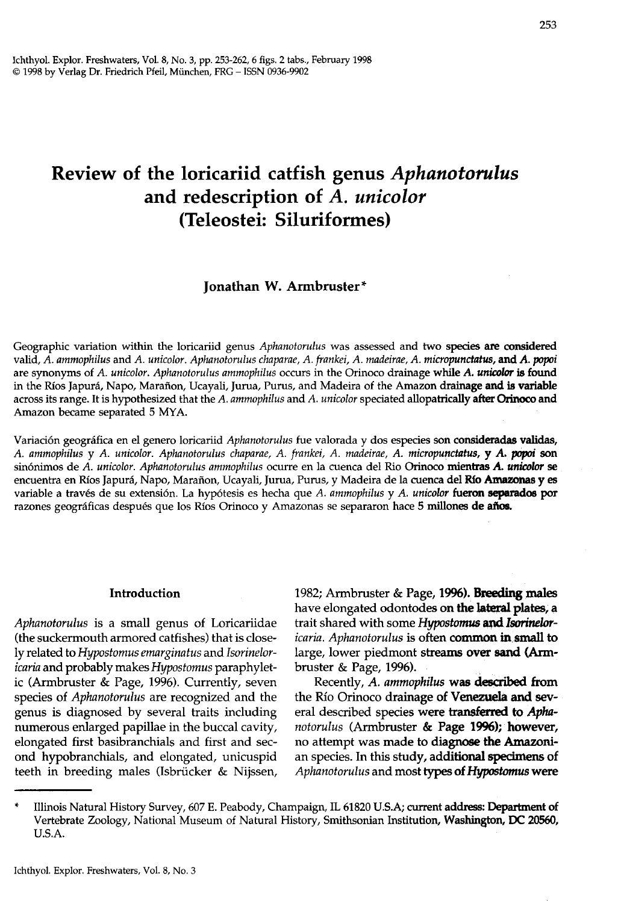# Review of the loricariid catfish genus *Aphanotorulus*  and redescription of *A. unicolor*  (Teleostei: Siluriformes)

# Jonathan W. Armbruster\*

Geographic variation within the loricariid genus *Aphanotorulus* was assessed and two species are considered valid, *A. ammophilus and A. unicolor. Aphanotorulus chaparae, A. frankei, A. madeirae, A. micropunctatus, and A. popoi* are synonyms of *A. unicolor. Aphanotorulus ammophilus* occurs in the Orinoco drainage while *A. unicolor* is found in the Ríos Japurá, Napo, Marañon, Ucayali, Jurua, Purus, and Madeira of the Amazon drainage and is variable across its range. It is hypothesized that the *A. ammophilus* and *A. unicolor* speciated allopatrically after Orinoco and Amazon became separated 5 MYA.

Variación geográfica en el genero loricariid *Aphanotorulus* fue valorada y dos especies son consideradas validas, *A. ammophilus* y *A. unicolor. Aphanotorulus chaparae, A. frankei, A. madeirae, A. micropunctatus,* y *A.* popoi son sinonimos de *A. unicolor. Aphanotorulus ammophilus* ocurre en la cuenca del Rio Orinoco rnientras *A. unicolor* se encuentra en Ríos Japurá, Napo, Marañon, Ucayali, Jurua, Purus, y Madeira de la cuenca del Río Amazonas y es variable a traves de su extension. La hypotesis es hecha que *A. ammophilus* y *A. unicolor* fueron separados por razones geográficas después que los Ríos Orinoco y Amazonas se separaron hace 5 millones de años.

#### Introduction

*Aphanotorulus* is a small genus of Loricariidae (the suckermouth armored catfishes) that is closely related to *Hypostomus emarginatus* and *Isorineloricaria* and probably makes *Hypostomus* paraphyletic (Armbruster & Page, 1996). Currently, seven species of *Aphanotorulus* are recognized and the genus is diagnosed by several traits including numerous enlarged papillae in the buccal cavity, elongated first basibranchials and first and second hypobranchials, and elongated, unicuspid teeth in breeding males (Isbrücker & Nijssen, 1982; Armbruster & Page, 1996). Breeding males have elongated odontodes on the lateral plates, a trait shared with some *Hypostomus* and *Isorineloricaria. Aphanotorulus* is often common in.small to large, lower piedmont streams over sand (Armbruster & Page, 1996).

Recently, *A. ammophilus* was described from the Río Orinoco drainage of Venezuela and several described species were transferred to *Aphanotorulus* (Armbruster & Page 1996); however, no attempt was made to diagnose the Amazonian species. In this study, additional specimens of *Aphanotorulus* and most types of *Hypostomus* were

Illinois Natural History Survey, 607 E. Peabody, Champaign, IL 61820 U.S.A; current address: Department of Vertebrate Zoology, National Museum of Natural History, Smithsonian Institution, Washington, OC 20560, U.s.A.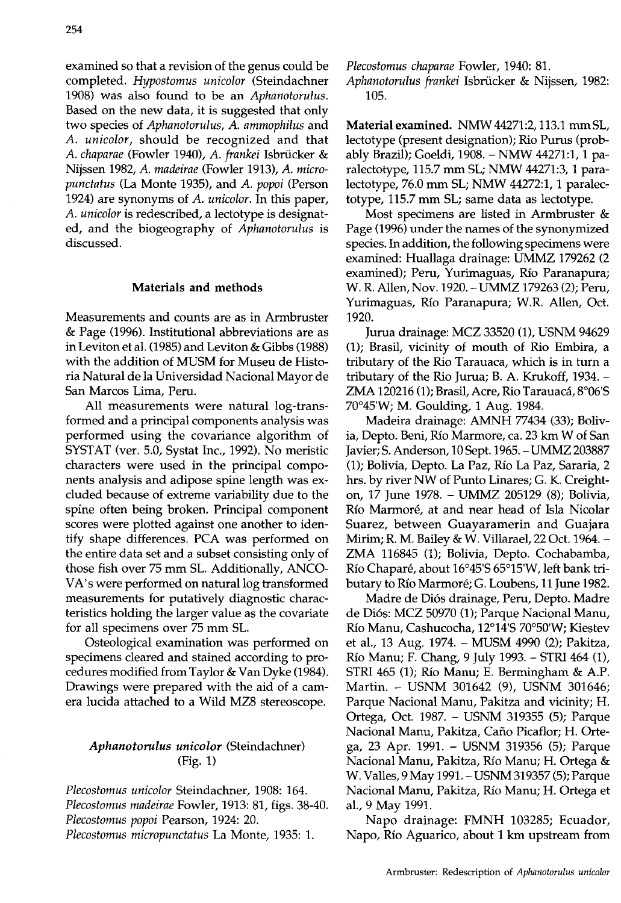examined so that a revision of the genus could be completed. *Hypostomus unicolor* (Steindachner 1908) was also found to be an *Aphanotorulus.*  Based on the new data, it is suggested that only two species of *Aphanotorulus,* A. *ammophilus* and *A. unicolor,* should be recognized and that *A. chapa rae* (Fowler 1940), *A. frankei* Isbriicker & Nijssen 1982, A. *madeirae* (Fowler 1913), *A. micropunctatus* (La Monte 1935), and *A. popoi* (Person 1924) are synonyms of *A. unicolor.* In this paper, *A. unicolor* is redescribed, a lectotype is designated, and the biogeography of *Aphanotorulus* is discussed.

#### Materials and methods

Measurements and counts are as in Armbruster & Page (1996). Institutional abbreviations are as in Leviton et a1. (1985) and Leviton & Gibbs (1988) with the addition of MUSM for Museu de Historia Natural de la Universidad Nacional Mayor de San Marcos Lima, Peru.

All measurements were natural log-transformed and a principal components analysis was performed using the covariance algorithm of SYSTAT (ver. 5.0, Systat Inc., 1992). No meristic characters were used in the principal components analysis and adipose spine length was excluded because of extreme variability due to the spine often being broken. Principal component scores were plotted against one another to identify shape differences. PCA was performed on the entire data set and a subset consisting only of those fish over 75 mm SL. Additionally, ANCO-VA's were performed on natural log transformed measurements for putatively diagnostic characteristics holding the larger value as the covariate for all specimens over 75 mm SL.

Osteological examination was performed on specimens cleared and stained according to procedures modified from Taylor & Van Dyke (1984). Drawings were prepared with the aid of a camera lucida attached to a Wild MZ8 stereoscope.

# *Aphanotorulus unicolor* (Steindachner) (Fig. 1)

*Plecostomus unicolor* Steindachner, 1908: 164. *Plecostomus madeirae* Fowler, 1913: 81, figs. 38-40. *Plecostomus popoi* Pearson, 1924: 20. *Plecostomus micropunctatus* La Monte, 1935: 1.

*Plecostomus chaparae* Fowler, 1940: 81.

*Aphanotorulus frankei* Isbriicker & Nijssen, 1982: 105.

Material examined. NMW 44271:2, 113.1 mm SL, lectotype (present designation); Rio Purus (probably Brazil); Goeldi, 1908. - NMW 44271:1,1 paralectotype, 115.7 mm SL; NMW 44271:3, 1 paralectotype, 76.0 mm SL; NMW 44272:1, 1 paralectotype, 115.7 mm SL; same data as lectotype.

Most specimens are listed in Armbruster & Page (1996) under the names of the synonymized species. In addition, the following specimens were examined: Huallaga drainage: UMMZ 179262 (2 examined); Peru, Yurimaguas, Rio Paranapura; W. R. Allen, Nov. 1920.-UMMZ 179263 (2); Peru, Yurimaguas, Rio Paranapura; W.R. Allen, Oct. 1920.

Jurua drainage: MCZ 33520 (1), USNM 94629 (1); Brasil, vicinity of mouth of Rio Embira, a tributary of the Rio Tarauaca, which is in turn a tributary of the Rio Jurua; B. A. Krukoff, 1934. - ZMA 120216 (1); Brasil, Acre, Rio Tarauacá, 8°06'S 70°45'W; M. Goulding, 1 Aug. 1984.

Madeira drainage: AMNH 77434 (33); Bolivia, Depto. Beni, Rio Marmore, ca. 23 km W of San Javier; S. Anderson, 10 Sept. 1965. - UMMZ 203887 (1); Bolivia, Depto. La Paz, Rio La Paz, Sararia, 2 hrs. by river NW of Punto Linares; G. K. Creighton, 17 June 1978. - UMMZ 205129 (8); Bolivia, Río Marmoré, at and near head of Isla Nicolar Suarez, between Guayaramerin and Guajara Mirim; R. M. Bailey & W. Villarael, 22 Oct. 1964.- ZMA 116845 (1); Bolivia, Depto. Cochabamba, Rio Chapare, about 16°45'S 65°15'W, left bank tributary to Río Marmoré; G. Loubens, 11 June 1982.

Madre de Di6s drainage, Peru, Depto. Madre de Di6s: MCZ 50970 (1); Parque Nacional Manu, Río Manu, Cashucocha, 12°14'S 70°50'W; Kiestev et aI., 13 Aug. 1974. - MUSM 4990 (2); Pakitza, Rio Manu; F. Chang, 9 July 1993. - STRl 464 (1), STRl465 (1); Rio Manu; E. Bermingham & A.P. Martin. - USNM 301642 (9), USNM 301646; Parque Nacional Manu, Pakitza and vicinity; H. Ortega, Oct. 1987. - USNM 319355 (5); Parque Nacional Manu, Pakitza, Caño Picaflor; H. Ortega, 23 Apr. 1991. - USNM 319356 (5); Parque Nacional Manu, Pakitza, Rio Manu; H. Ortega & W. Valles, 9 May 1991. - USNM 319357 (5); Parque Nacional Manu, Pakitza, Rio Manu; H. Ortega et aI., 9 May 1991.

Napo drainage: FMNH 103285; Ecuador, Napo, Rio Aguarico, about 1 km upstream from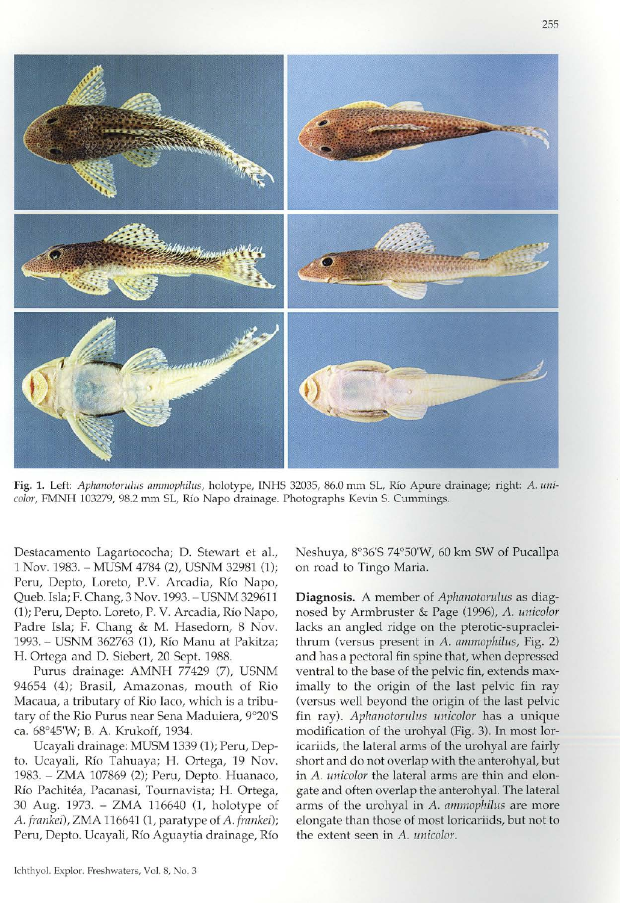

Fig. 1. Left: Aphanotorulus ammophilus, holotype, INHS 32035, 86.0 mm SL, Río Apure drainage; right: A. unicolor, FMNH 103279, 98.2 mm SL, Río Napo drainage. Photographs Kevin S. Cummings.

Destacamento Lagartococha; D. Stewart et a1., 1 Nov. 1983. - MUSM 4784 (2), USNM 32981 (1); Peru, Depto, Loreto, P.V. Arcadia, Río Napo, Queb. lsla; F. Chang, 3 Nov. 1993. - USNM 329611 (1); Peru, Depto. Loreto, P. V. Arcadia, Río Napo, Padre Isla; F. Chang & M. Hasedorn, 8 Nov. 1993. - USNM 362763 (I), Rio Manu at Pakitza; H. Ortega and D. Siebert, 20 Sept. 1988.

Purus drainage: AMNH 77429 (7), USNM 94654 (4); Brasil, Amazonas, mouth of Rio Macaua, a tributary of Rio Iaco, which is a tributary of the Rio Purus near Sena Maduiera, 9°20'S ca. 68°45'W; B. A. Krukoff, 1934.

Ucayali drainage: MUSM 1339 (I); Peru, Depto. Ucayali, Rio Tahuaya; H. Ortega, 19 Nov. 1983. - ZMA 107869 (2); Peru, Depto. Huanaco, Río Pachitéa, Pacanasi, Tournavista; H. Ortega, 30 Aug. 1973. - ZMA 116640 (1, holotype of *A. frankei*), **ZMA 116641** (1, paratype of *A. frankei*); Peru, Depto. Ucayali, Rio Aguaytia drainage, *Rio* 

Neshuya, 8°36'5 74°S0'W, 60 km SW of Pucallpa on road to Tingo Maria.

Diagnosis. A member of *Aphanotorulus* as diagnosed by Armbruster & Page (1996), *A. unicolor*  lacks an angled ridge on the pterotic-supracleithrum (versus present in *A. ammophilus,* Fig. 2) and has a pectoral fin spine that, when depressed ventral to the base of the pelvic fin, extends maximally to the origin of the last pelvic fin ray (versus well beyond the origin of the last pelvic fin ray), *Aphanotorullls unicolor* has a unique modification of the urohyaJ (Fig. 3). **Tn** most 10ricariids, the lateral arms of the urohyal are fairly short and do not overlap with the anterohyal, but in *A. unicolor* the lateral arms are thin and elongate and often overlap the anterohyaL The lateral arms of the urohyal in *A. ammophilus* are more elongate than those of most loricariids, but not to the extent seen in *A. unicolor.*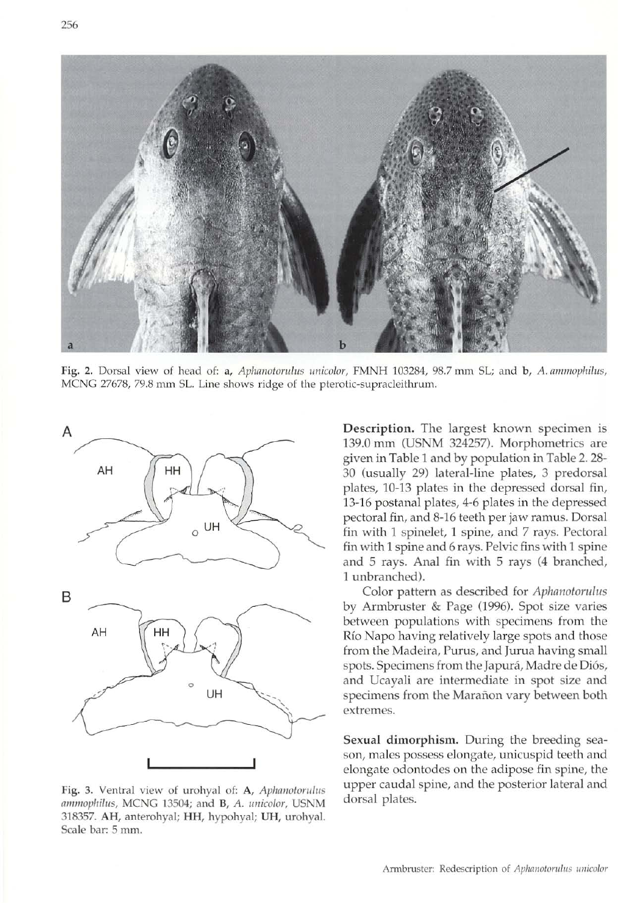



Fig. 2. Dorsal view of head of: a, Aphanotorulus unicolor, FMNH 103284, 98.7 mm SL; and b, A. ammophilus, MCNG 27678, 79.8 mm SL. Line shows ridge of the pterotic-supracleithrum.



Fig. 3. Ventral view of urohyal of: A, Aphanotorulus ammophilus, MCNG 13504; and B, A. unicolor, USNM 318357. AH, anterohyal; HH, hypohyal; UH, urohyal. Scale bar: 5 mm.

Description. The largest known specimen is 139.0 mm (USNM 324257). Morphometrics are given in Table 1 and by population in Table 2.28-30 (usually 29) lateral-line plates, 3 predorsal plates, 10-13 plates in the depressed dorsal fin, 13-16 postana! plates, 4-6 plates in the depressed pectoral fin, and 8-16 teeth per jaw ramus. Dorsal fin with 1 spinelet, 1 spine, and 7 rays. Pectoral fin with 1 spine and 6 rays. Pelvic fins with 1 spine and 5 rays. Anal fin with 5 rays (4 branched, 1 unbranched),

Color pattern as described for Aphanotorulus by Armbruster & Page (1996). Spot size varies between populations with specimens from the Río Napo having relatively large spots and those from the Madeira, Purus, and Jurua having small spots. Specimens from the Japurá, Madre de Diós, and Ucayali are intermediate in spot size and specimens from the Marañon vary between both extremes.

Sexual dimorphism. During the breeding season, males possess elongate, unicuspid teeth and elongate odontodes on the adipose fin spine, the upper caudal spine, and the posterior lateral and dorsal plates.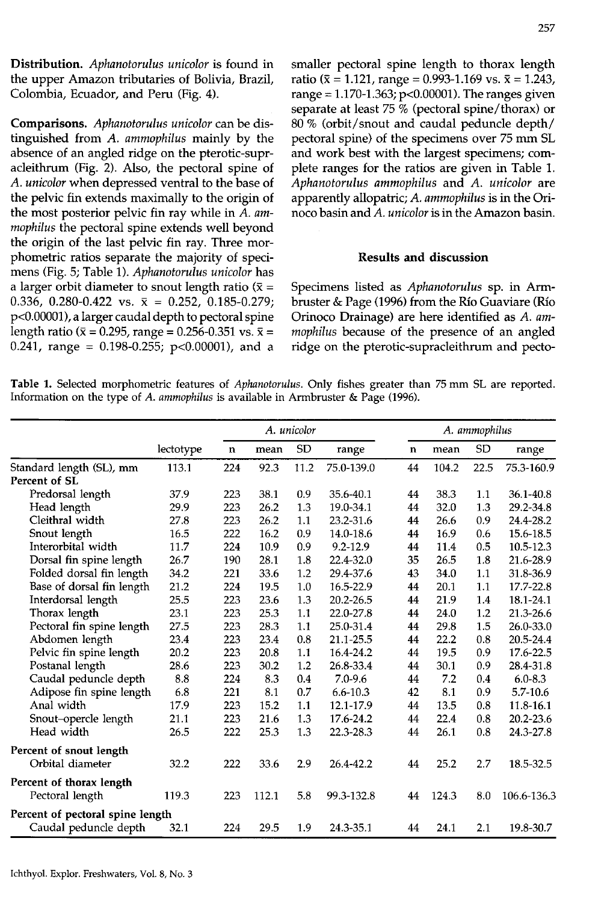Distribution. *Aphanotorulus unicolor* is found in the upper Amazon tributaries of Bolivia, Brazil, Colombia, Ecuador, and Peru (Fig. 4).

Comparisons. *Aphanotorulus unicolor* can be distinguished from *A. ammophilus* mainly by the absence of an angled ridge on the pterotic-supracleithrum (Fig. 2). Also, the pectoral spine of *A. unicolor* when depressed ventral to the base of the pelvic fin extends maximally to the origin of the most posterior pelvic fin ray while in *A. ammophilus* the pectoral spine extends well beyond the origin of the last pelvic fin ray. Three morphometric ratios separate the majority of specimens (Fig. 5; Table 1). *Aphanotorulus unicolor* has a larger orbit diameter to snout length ratio  $(\bar{x} =$ 0.336, 0.280-0.422 vs.  $\bar{x} = 0.252$ , 0.185-0.279; p<0.00001), a larger caudal depth to pectoral spine length ratio ( $\bar{x} = 0.295$ , range = 0.256-0.351 vs.  $\bar{x} = 0.241$ , range = 0.198-0.255; p<0.00001), and a smaller pectoral spine length to thorax length ratio ( $\bar{x}$  = 1.121, range = 0.993-1.169 vs.  $\bar{x}$  = 1.243, range =  $1.170 - 1.363$ ; p<0.00001). The ranges given separate at least 75 % (pectoral spine/thorax) or 80 % (orbit/snout and caudal peduncle depth/ pectoral spine) of the specimens over 75 mm SL and work best with the largest specimens; complete ranges for the ratios are given in Table 1. *Aphanotorulus ammophilus* and *A. unicolor* are apparently allopatric; *A. ammophilus* is in the Orinoco basin and *A. unicolor* is in the Amazon basin.

# Results and discussion

Specimens listed as *Aphanotorulus* sp. in Armbruster & Page (1996) from the Rio Guaviare (Rio Orinoco Drainage) are here identified as *A. ammophilus* because of the presence of an angled ridge on the pterotic-supracleithrum and pecto-

Table 1. Selected morphometric features of *Aphanotorulus*. Only fishes greater than 75 mm SL are reported. Information on the type of A. *ammophilus* is available in Armbruster & Page (1996).

|                                  |           |             |       | A. unicolor |              |    | A. ammophilus |           |              |  |  |  |  |
|----------------------------------|-----------|-------------|-------|-------------|--------------|----|---------------|-----------|--------------|--|--|--|--|
|                                  | lectotype | $\mathbf n$ | mean  | <b>SD</b>   | range        | n  | mean          | <b>SD</b> | range        |  |  |  |  |
| Standard length (SL), mm         | 113.1     | 224         | 92.3  | 11.2        | 75.0-139.0   | 44 | 104.2         | 22.5      | 75.3-160.9   |  |  |  |  |
| Percent of SL                    |           |             |       |             |              |    |               |           |              |  |  |  |  |
| Predorsal length                 | 37.9      | 223         | 38.1  | 0.9         | 35.6-40.1    | 44 | 38.3          | 1.1       | 36.1-40.8    |  |  |  |  |
| Head length                      | 29.9      | 223         | 26.2  | 1.3         | 19.0-34.1    | 44 | 32.0          | 1.3       | 29.2-34.8    |  |  |  |  |
| Cleithral width                  | 27.8      | 223         | 26.2  | 1.1         | 23.2-31.6    | 44 | 26.6          | 0.9       | 24.4-28.2    |  |  |  |  |
| Snout length                     | 16.5      | 222         | 16.2  | 0.9         | 14.0-18.6    | 44 | 16.9          | 0.6       | 15.6-18.5    |  |  |  |  |
| Interorbital width               | 11.7      | 224         | 10.9  | 0.9         | $9.2 - 12.9$ | 44 | 11.4          | 0.5       | 10.5-12.3    |  |  |  |  |
| Dorsal fin spine length          | 26.7      | 190         | 28.1  | 1.8         | 22.4-32.0    | 35 | 26.5          | 1.8       | 21.6-28.9    |  |  |  |  |
| Folded dorsal fin length         | 34.2      | 221         | 33.6  | 1.2         | 29.4-37.6    | 43 | 34.0          | 1.1       | 31.8-36.9    |  |  |  |  |
| Base of dorsal fin length        | 21.2      | 224         | 19.5  | 1.0         | 16.5-22.9    | 44 | 20.1          | 1.1       | 17.7-22.8    |  |  |  |  |
| Interdorsal length               | 25.5      | 223         | 23.6  | 1.3         | 20.2-26.5    | 44 | 21.9          | 1.4       | 18.1-24.1    |  |  |  |  |
| Thorax length                    | 23.1      | 223         | 25.3  | 1.1         | 22.0-27.8    | 44 | 24.0          | 1.2       | 21.3-26.6    |  |  |  |  |
| Pectoral fin spine length        | 27.5      | 223         | 28.3  | 1.1         | 25.0-31.4    | 44 | 29.8          | 1.5       | 26.0-33.0    |  |  |  |  |
| Abdomen length                   | 23.4      | 223         | 23.4  | 0.8         | 21.1-25.5    | 44 | 22.2          | 0.8       | 20.5-24.4    |  |  |  |  |
| Pelvic fin spine length          | 20.2      | 223         | 20.8  | 1.1         | 16.4-24.2    | 44 | 19.5          | 0.9       | 17.6-22.5    |  |  |  |  |
| Postanal length                  | 28.6      | 223         | 30.2  | 1.2         | 26.8-33.4    | 44 | 30.1          | 0.9       | 28.4-31.8    |  |  |  |  |
| Caudal peduncle depth            | 8.8       | 224         | 8.3   | 0.4         | $7.0 - 9.6$  | 44 | 7.2           | 0.4       | $6.0 - 8.3$  |  |  |  |  |
| Adipose fin spine length         | 6.8       | 221         | 8.1   | 0.7         | $6.6 - 10.3$ | 42 | 8.1           | 0.9       | $5.7 - 10.6$ |  |  |  |  |
| Anal width                       | 17.9      | 223         | 15.2  | 1.1         | 12.1-17.9    | 44 | 13.5          | 0.8       | 11.8-16.1    |  |  |  |  |
| Snout-opercle length             | 21.1      | 223         | 21.6  | 1.3         | 17.6-24.2    | 44 | 22.4          | 0.8       | 20.2-23.6    |  |  |  |  |
| Head width                       | 26.5      | 222         | 25.3  | 1.3         | 22.3-28.3    | 44 | 26.1          | 0.8       | 24.3-27.8    |  |  |  |  |
| Percent of snout length          |           |             |       |             |              |    |               |           |              |  |  |  |  |
| Orbital diameter                 | 32.2      | 222         | 33.6  | 2.9         | 26.4-42.2    | 44 | 25.2          | 2.7       | 18.5-32.5    |  |  |  |  |
| Percent of thorax length         |           |             |       |             |              |    |               |           |              |  |  |  |  |
| Pectoral length                  | 119.3     | 223         | 112.1 | 5.8         | 99.3-132.8   | 44 | 124.3         | 8.0       | 106.6-136.3  |  |  |  |  |
| Percent of pectoral spine length |           |             |       |             |              |    |               |           |              |  |  |  |  |
| Caudal peduncle depth            | 32.1      | 224         | 29.5  | 1.9         | 24.3-35.1    | 44 | 24.1          | 2.1       | 19.8-30.7    |  |  |  |  |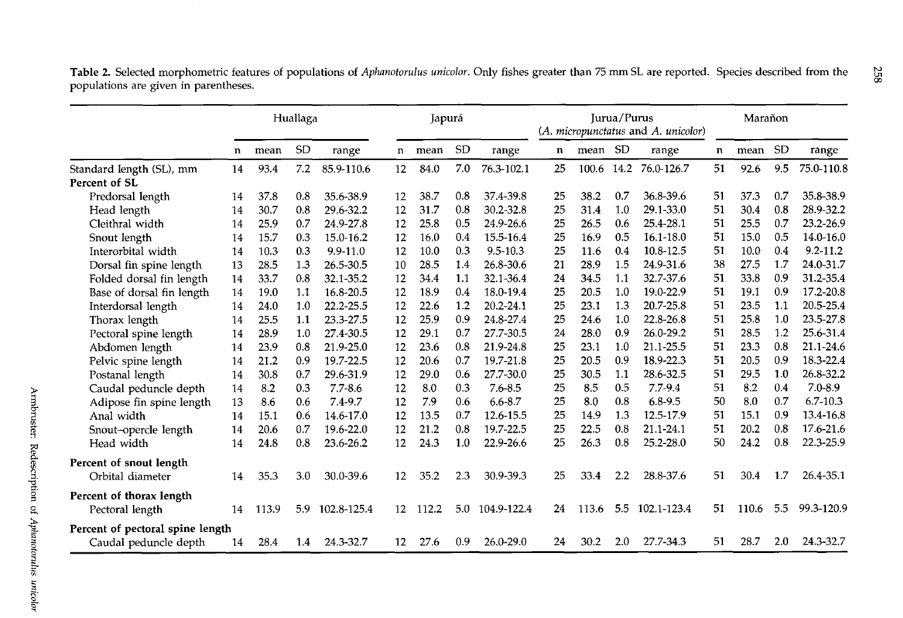|                                                           |    | Huallaga |           |              | Japurá |       |           |               | Jurua/Purus<br>(A. micropunctatus and A. unicolor) |         |      |             |    | Marañon |           |              |  |
|-----------------------------------------------------------|----|----------|-----------|--------------|--------|-------|-----------|---------------|----------------------------------------------------|---------|------|-------------|----|---------|-----------|--------------|--|
|                                                           | n  | mean     | <b>SD</b> | range        | n      | mean  | <b>SD</b> | range         | $\mathbf n$                                        | mean SD |      | range       | n  | mean    | <b>SD</b> | range        |  |
| Standard length (SL), mm                                  | 14 | 93.4     | 7.2       | 85.9-110.6   | 12     | 84.0  | 7.0       | 76.3-102.1    | 25                                                 | 100.6   | 14.2 | 76.0-126.7  | 51 | 92.6    | 9.5       | 75.0-110.8   |  |
| Percent of SL                                             |    |          |           |              |        |       |           |               |                                                    |         |      |             |    |         |           |              |  |
| Predorsal length                                          | 14 | 37.8     | 0.8       | 35.6-38.9    | 12     | 38.7  | 0.8       | 37.4-39.8     | 25                                                 | 38.2    | 0.7  | 36.8-39.6   | 51 | 37.3    | 0.7       | 35.8-38.9    |  |
| Head length                                               | 14 | 30.7     | 0.8       | 29.6-32.2    | 12     | 31.7  | 0.8       | 30.2-32.8     | 25                                                 | 31.4    | 1.0  | 29.1-33.0   | 51 | 30.4    | 0.8       | 28.9-32.2    |  |
| Cleithral width                                           | 14 | 25.9     | 0.7       | 24.9-27.8    | 12     | 25.8  | 0.5       | 24.9-26.6     | 25                                                 | 26.5    | 0.6  | 25.4-28.1   | 51 | 25.5    | 0.7       | 23.2-26.9    |  |
| Snout length                                              | 14 | 15.7     | 0.3       | 15.0-16.2    | 12     | 16.0  | 0.4       | 15.5-16.4     | 25                                                 | 16.9    | 0.5  | 16.1-18.0   | 51 | 15.0    | 0.5       | 14.0-16.0    |  |
| Interorbital width                                        | 14 | 10.3     | 0.3       | $9.9 - 11.0$ | 12     | 10.0  | 0.3       | 9.5-10.3      | 25                                                 | 11.6    | 0.4  | 10.8-12.5   | 51 | 10.0    | 0.4       | $9.2 - 11.2$ |  |
| Dorsal fin spine length                                   | 13 | 28.5     | 1.3       | 26.5-30.5    | 10     | 28.5  | 1.4       | 26.8-30.6     | 21                                                 | 28.9    | 1.5  | 24.9-31.6   | 38 | 27.5    | 1.7       | 24.0-31.7    |  |
| Folded dorsal fin length                                  | 14 | 33.7     | 0.8       | 32.1-35.2    | 12     | 34.4  | 1.1       | 32.1-36.4     | 24                                                 | 34.5    | 1.1  | 32.7-37.6   | 51 | 33.8    | 0.9       | 31.2-35.4    |  |
| Base of dorsal fin length                                 | 14 | 19.0     | 1.1       | 16.8-20.5    | 12     | 18.9  | 0.4       | 18.0-19.4     | 25                                                 | 20.5    | 1.0  | 19.0-22.9   | 51 | 19.1    | 0.9       | 17.2-20.8    |  |
| Interdorsal length                                        | 14 | 24.0     | 1.0       | 22.2-25.5    | 12     | 22.6  | 1.2       | $20.2 - 24.1$ | 25                                                 | 23.1    | 1.3  | 20.7-25.8   | 51 | 23.5    | 1.1       | 20.5-25.4    |  |
| Thorax length                                             | 14 | 25.5     | 1.1       | 23.3-27.5    | 12     | 25.9  | 0.9       | 24.8-27.4     | 25                                                 | 24.6    | 1.0  | 22.8-26.8   | 51 | 25.8    | 1.0       | 23.5-27.8    |  |
| Pectoral spine length                                     | 14 | 28.9     | 1.0       | 27.4-30.5    | 12     | 29.1  | 0.7       | 27.7-30.5     | 24                                                 | 28.0    | 0.9  | 26.0-29.2   | 51 | 28.5    | 1.2       | 25.6-31.4    |  |
| Abdomen length                                            | 14 | 23.9     | 0.8       | 21.9-25.0    | 12     | 23.6  | 0.8       | 21.9-24.8     | 25                                                 | 23.1    | 1.0  | 21.1-25.5   | 51 | 23.3    | 0.8       | 21.1-24.6    |  |
| Pelvic spine length                                       | 14 | 21.2     | 0.9       | 19.7-22.5    | 12     | 20.6  | 0.7       | 19.7-21.8     | 25                                                 | 20.5    | 0.9  | 18.9-22.3   | 51 | 20.5    | 0.9       | 18.3-22.4    |  |
| Postanal length                                           | 14 | 30.8     | 0.7       | 29.6-31.9    | 12     | 29.0  | 0.6       | 27.7-30.0     | 25                                                 | 30.5    | 1.1  | 28.6-32.5   | 51 | 29.5    | 1.0       | 26.8-32.2    |  |
| Caudal peduncle depth                                     | 14 | 8.2      | 0.3       | $7.7 - 8.6$  | 12     | 8.0   | 0.3       | $7.6 - 8.5$   | 25                                                 | 8.5     | 0.5  | $7.7 - 9.4$ | 51 | 8.2     | 0.4       | $7.0 - 8.9$  |  |
| Adipose fin spine length                                  | 13 | 8.6      | 0.6       | 7.4-9.7      | 12     | 7.9   | 0.6       | $6.6 - 8.7$   | 25                                                 | 8.0     | 0.8  | $6.8 - 9.5$ | 50 | 8.0     | 0.7       | $6.7 - 10.3$ |  |
| Anal width                                                | 14 | 15.1     | 0.6       | 14.6-17.0    | 12     | 13.5  | 0.7       | 12.6-15.5     | 25                                                 | 14.9    | 1.3  | 12.5-17.9   | 51 | 15.1    | 0.9       | 13.4-16.8    |  |
| Snout-opercle length                                      | 14 | 20.6     | 0.7       | 19.6-22.0    | 12     | 21.2  | 0.8       | 19.7-22.5     | 25                                                 | 22.5    | 0.8  | 21.1-24.1   | 51 | 20.2    | 0.8       | 17.6-21.6    |  |
| Head width                                                | 14 | 24.8     | 0.8       | 23.6-26.2    | 12     | 24.3  | 1.0       | 22.9-26.6     | 25                                                 | 26.3    | 0.8  | 25.2-28.0   | 50 | 24.2    | 0.8       | 22.3-25.9    |  |
| Percent of snout length                                   |    |          |           |              |        |       |           |               |                                                    |         |      |             |    |         |           |              |  |
| Orbital diameter                                          | 14 | 35.3     | 3.0       | 30.0-39.6    | 12     | 35.2  | 2.3       | 30.9-39.3     | 25                                                 | 33.4    | 2.2  | 28.8-37.6   | 51 | 30.4    | 1.7       | 26.4-35.1    |  |
| Percent of thorax length<br>Pectoral length               | 14 | 113.9    | 5.9       | 102.8-125.4  | 12     | 112.2 | 5.0       | 104.9-122.4   | 24                                                 | 113.6   | 5.5  | 102.1-123.4 | 51 | 110.6   | 5.5       | 99.3-120.9   |  |
|                                                           |    |          |           |              |        |       |           |               |                                                    |         |      |             |    |         |           |              |  |
| Percent of pectoral spine length<br>Caudal peduncle depth | 14 | 28.4     | 1.4       | 24.3-32.7    | 12     | 27.6  | 0.9       | 26.0-29.0     | 24                                                 | 30.2    | 2.0  | 27.7-34.3   | 51 | 28.7    | 2.0       | 24.3-32.7    |  |

Table 2. Selected morphometric features of populations of *Aphanotorulus unicolor.* Only fishes greater than 75 mm SL are reported. Species described from the populations are given in parentheses.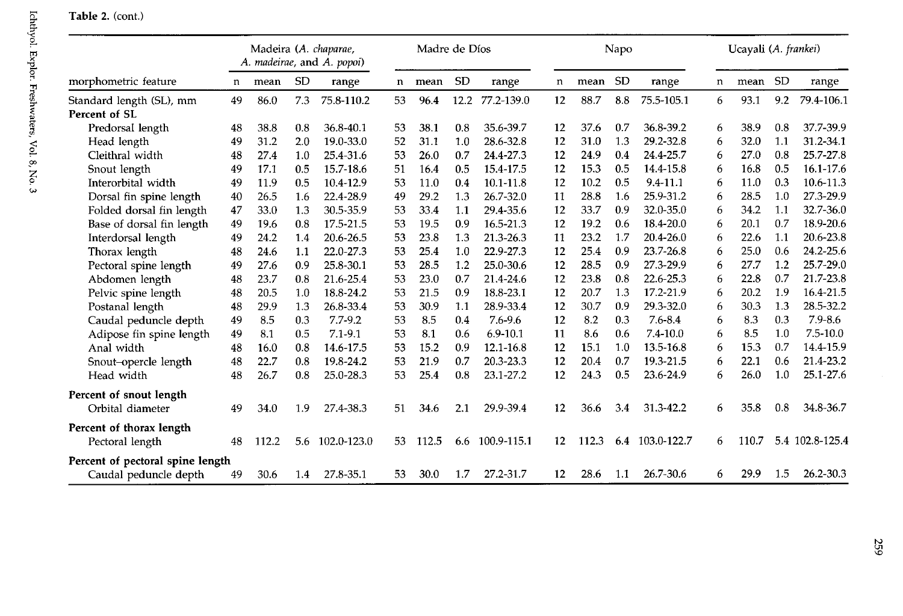|                                  |    |       |           | Madeira (A. chaparae,<br>A. madeirae, and A. popoi) | Madre de Díos<br>Napo |       |           |              |    |       |           | Ucayali (A. frankei) |   |       |           |                 |
|----------------------------------|----|-------|-----------|-----------------------------------------------------|-----------------------|-------|-----------|--------------|----|-------|-----------|----------------------|---|-------|-----------|-----------------|
| morphometric feature             | n  | mean  | <b>SD</b> | range                                               | n                     | mean  | <b>SD</b> | range        | n  | mean  | <b>SD</b> | range                | n | mean  | <b>SD</b> | range           |
| Standard length (SL), mm         | 49 | 86.0  | 7.3       | 75.8-110.2                                          | 53                    | 96.4  | 12.2      | 77.2-139.0   | 12 | 88.7  | 8.8       | 75.5-105.1           | 6 | 93.1  | 9.2       | 79.4-106.1      |
| Percent of SL                    |    |       |           |                                                     |                       |       |           |              |    |       |           |                      |   |       |           |                 |
| Predorsal length                 | 48 | 38.8  | 0.8       | 36.8-40.1                                           | 53                    | 38.1  | 0.8       | 35.6-39.7    | 12 | 37.6  | 0.7       | 36.8-39.2            | 6 | 38.9  | 0.8       | 37.7-39.9       |
| Head length                      | 49 | 31.2  | 2.0       | 19.0-33.0                                           | 52                    | 31.1  | 1.0       | 28.6-32.8    | 12 | 31.0  | 1.3       | 29.2-32.8            | 6 | 32.0  | 1.1       | 31.2-34.1       |
| Cleithral width                  | 48 | 27.4  | 1.0       | 25.4-31.6                                           | 53                    | 26.0  | 0.7       | 24.4-27.3    | 12 | 24.9  | 0.4       | 24.4-25.7            | 6 | 27.0  | 0.8       | 25.7-27.8       |
| Snout length                     | 49 | 17.1  | 0.5       | 15.7-18.6                                           | 51                    | 16.4  | 0.5       | 15.4-17.5    | 12 | 15.3  | 0.5       | 14.4-15.8            | 6 | 16.8  | 0.5       | 16.1-17.6       |
| Interorbital width               | 49 | 11.9  | 0.5       | 10.4-12.9                                           | 53                    | 11.0  | 0.4       | 10.1-11.8    | 12 | 10.2  | 0.5       | $9.4 - 11.1$         | 6 | 11.0  | 0.3       | $10.6 - 11.3$   |
| Dorsal fin spine length          | 40 | 26.5  | 1.6       | 22.4-28.9                                           | 49                    | 29.2  | 1.3       | 26.7-32.0    | 11 | 28.8  | 1.6       | 25.9-31.2            | 6 | 28.5  | 1.0       | 27.3-29.9       |
| Folded dorsal fin length         | 47 | 33.0  | 1.3       | 30.5-35.9                                           | 53                    | 33.4  | 1.1       | 29.4-35.6    | 12 | 33.7  | 0.9       | 32.0-35.0            | 6 | 34.2  | 1.1       | 32.7-36.0       |
| Base of dorsal fin length        | 49 | 19.6  | 0.8       | 17.5-21.5                                           | 53                    | 19.5  | 0.9       | 16.5-21.3    | 12 | 19.2  | 0.6       | 18.4-20.0            | 6 | 20.1  | 0.7       | 18.9-20.6       |
| Interdorsal length               | 49 | 24.2  | 1.4       | 20.6-26.5                                           | 53                    | 23.8  | 1.3       | 21.3-26.3    | 11 | 23.2  | 1.7       | 20.4-26.0            | 6 | 22.6  | 1.1       | 20.6-23.8       |
| Thorax length                    | 48 | 24.6  | 1.1       | 22.0-27.3                                           | 53                    | 25.4  | 1.0       | 22.9-27.3    | 12 | 25.4  | 0.9       | 23.7-26.8            | 6 | 25.0  | 0.6       | 24.2-25.6       |
| Pectoral spine length            | 49 | 27.6  | 0.9       | 25.8-30.1                                           | 53                    | 28.5  | 1.2       | 25.0-30.6    | 12 | 28.5  | 0.9       | 27.3-29.9            | 6 | 27.7  | 1.2       | 25.7-29.0       |
| Abdomen length                   | 48 | 23.7  | 0.8       | 21.6-25.4                                           | 53                    | 23.0  | 0.7       | 21.4-24.6    | 12 | 23.8  | 0.8       | 22.6-25.3            | 6 | 22.8  | 0.7       | 21.7-23.8       |
| Pelvic spine length              | 48 | 20.5  | 1.0       | 18.8-24.2                                           | 53                    | 21.5  | 0.9       | 18.8-23.1    | 12 | 20.7  | 1.3       | 17.2-21.9            | 6 | 20.2  | 1.9       | 16.4-21.5       |
| Postanal length                  | 48 | 29.9  | 1.3       | 26.8-33.4                                           | 53                    | 30.9  | 1.1       | 28.9-33.4    | 12 | 30.7  | 0.9       | 29.3-32.0            | 6 | 30.3  | 1.3       | 28.5-32.2       |
| Caudal peduncle depth            | 49 | 8.5   | 0.3       | $7.7 - 9.2$                                         | 53                    | 8.5   | 0.4       | 7.6-9.6      | 12 | 8.2   | 0.3       | $7.6 - 8.4$          | 6 | 8.3   | 0.3       | $7.9 - 8.6$     |
| Adipose fin spine length         | 49 | 8.1   | 0.5       | $7.1 - 9.1$                                         | 53                    | 8.1   | 0.6       | $6.9 - 10.1$ | 11 | 8.6   | 0.6       | $7.4 - 10.0$         | 6 | 8.5   | 1.0       | $7.5 - 10.0$    |
| Anal width                       | 48 | 16.0  | 0.8       | 14.6-17.5                                           | 53                    | 15.2  | 0.9       | 12.1-16.8    | 12 | 15.1  | 1.0       | 13.5-16.8            | 6 | 15.3  | 0.7       | 14.4-15.9       |
| Snout-opercle length             | 48 | 22.7  | 0.8       | 19.8-24.2                                           | 53                    | 21.9  | 0.7       | 20.3-23.3    | 12 | 20.4  | 0.7       | 19.3-21.5            | 6 | 22.1  | 0.6       | 21.4-23.2       |
| Head width                       | 48 | 26.7  | 0.8       | 25.0-28.3                                           | 53                    | 25.4  | 0.8       | 23.1-27.2    | 12 | 24.3  | 0.5       | 23.6-24.9            | 6 | 26.0  | 1.0       | 25.1-27.6       |
| Percent of snout length          |    |       |           |                                                     |                       |       |           |              |    |       |           |                      |   |       |           |                 |
| Orbital diameter                 | 49 | 34.0  | 1.9       | 27.4-38.3                                           | 51                    | 34.6  | 2.1       | 29.9-39.4    | 12 | 36.6  | 3.4       | 31.3-42.2            | 6 | 35.8  | 0.8       | 34.8-36.7       |
| Percent of thorax length         |    |       |           |                                                     |                       |       |           |              |    |       |           |                      |   |       |           |                 |
| Pectoral length                  | 48 | 112.2 | 5.6       | 102.0-123.0                                         | 53                    | 112.5 | 6.6       | 100.9-115.1  | 12 | 112.3 | 6.4       | 103.0-122.7          | 6 | 110.7 |           | 5.4 102.8-125.4 |
| Percent of pectoral spine length |    |       |           |                                                     |                       |       |           |              |    |       |           |                      |   |       |           |                 |
| Caudal peduncle depth            | 49 | 30.6  | 1.4       | 27.8-35.1                                           | 53                    | 30.0  | 1.7       | 27.2-31.7    | 12 | 28.6  | 1.1       | 26.7-30.6            | 6 | 29.9  | 1.5       | 26.2-30.3       |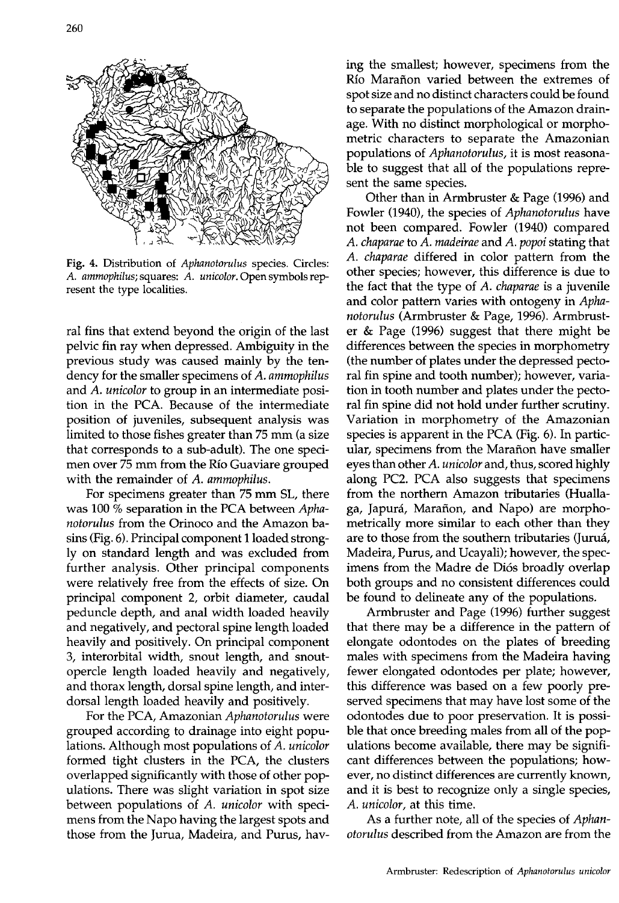

Fig. 4. Distribution of *Aphanotorulus* species. Circles: A. *ammophilus;* squares: A. *unicolor.* Open symbols represent the type localities.

ral fins that extend beyond the origin of the last pelvic fin ray when depressed. Ambiguity in the previous study was caused mainly by the tendency for the smaller specimens of *A. ammophilus*  and *A. unicolor* to group in an intermediate position in the PCA. Because of the intermediate position of juveniles, subsequent analysis was limited to those fishes greater than 75 mm (a size that corresponds to a sub-adult). The one specimen over 75 mm from the Rio Guaviare grouped with the remainder of *A. ammophilus.* 

For specimens greater than 75 mm SL, there was 100 % separation in the PCA between Apha*notorulus* from the Orinoco and the Amazon basins (Fig. 6). Principal component 1 loaded strongly on standard length and was excluded from further analysis. Other principal components were relatively free from the effects of size. On principal component 2, orbit diameter, caudal peduncle depth, and anal width loaded heavily and negatively, and pectoral spine length loaded heavily and positively. On principal component 3, interorbital width, snout length, and snoutopercle length loaded heavily and negatively, and thorax length, dorsal spine length, and interdorsal length loaded heavily and positively.

For the PCA, Amazonian *Aphanotorulus* were grouped according to drainage into eight populations. Although most populations of *A. unicolor*  formed tight clusters in the PCA, the clusters overlapped significantly with those of other populations. There was slight variation in spot size between populations of *A. unicolor* with specimens from the Napo having the largest spots and those from the Jurua, Madeira, and Purus, having the smallest; however, specimens from the Río Marañon varied between the extremes of spot size and no distinct characters could be found to separate the populations of the Amazon drainage. With no distinct morphological or morphometric characters to separate the Amazonian populations of *Aphanotorulus,* it is most reasonable to suggest that all of the populations represent the same species.

Other than in Armbruster & Page (1996) and Fowler (1940), the species of *Aphanotorulus* have not been compared. Fowler (1940) compared *A. chaparae* to *A. madeirae* and *A. popoi* stating that *A. chaparae* differed in color pattern from the other species; however, this difference is due to the fact that the type of *A. chaparae* is a juvenile and color pattern varies with ontogeny in *Aphanotorulus* (Armbruster & Page, 1996). Armbruster & Page (1996) suggest that there might be differences between the species in morphometry (the number of plates under the depressed pectoral fin spine and tooth number); however, variation in tooth number and plates under the pectoral fin spine did not hold under further scrutiny. Variation in morphometry of the Amazonian species is apparent in the PCA (Fig. 6). In particular, specimens from the Marafton have smaller eyes than other *A. unicolor* and, thus, scored highly along PC2. PCA also suggests that specimens from the northern Amazon tributaries (Huallaga, Japurá, Marañon, and Napo) are morphometrically more similar to each other than they are to those from the southern tributaries (Jurua, Madeira, Purus, and Ucayali); however, the specimens from the Madre de Di6s broadly overlap both groups and no consistent differences could be found to delineate any of the populations.

Armbruster and Page (1996) further suggest that there may be a difference in the pattern of elongate odontodes on the plates of breeding males with specimens from the Madeira having fewer elongated odontodes per plate; however, this difference was based on a few poorly preserved specimens that may have lost some of the odontodes due to poor preservation. It is possible that once breeding males from all of the populations become available, there may be significant differences between the populations; however, no distinct differences are currently known, and it is best to recognize only a single species, *A. unicolor,* at this time.

As a further note, all of the species of *Aphanotorulus* described from the Amazon are from the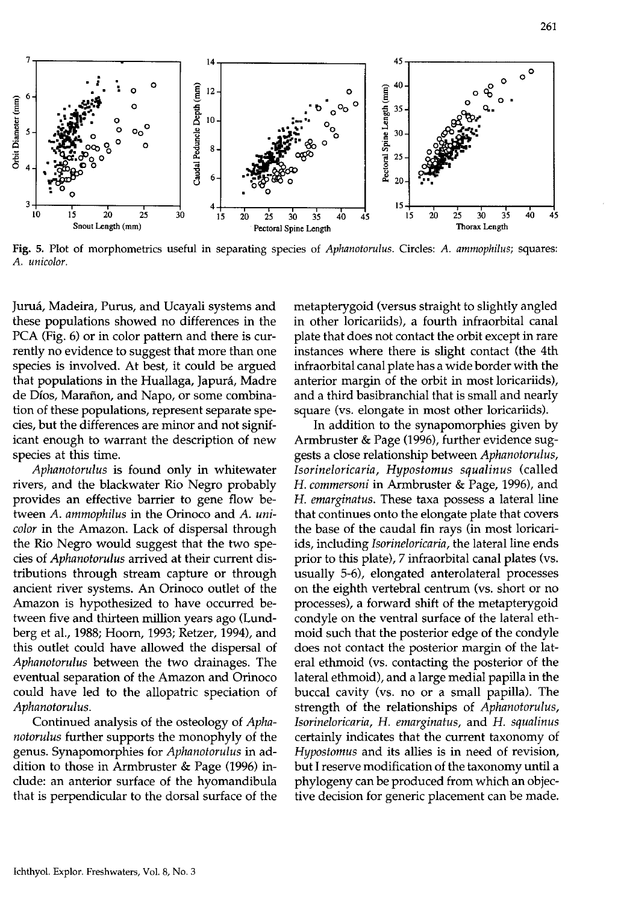

Fig. 5. Plot of morphometries useful in separating species of *Aphanotorulus.* Circles: A. *ammophilus;* squares: A. *unicolor.* 

Jurua, Madeira, Purus, and Ucayali systems and these populations showed no differences in the PCA (Fig. 6) or in color pattern and there is currently no evidence to suggest that more than one species is involved. At best, it could be argued that populations in the Huallaga, Japura, Madre de Dios, Marafion, and Napo, or some combination of these populations, represent separate species, but the differences are minor and not significant enough to warrant the description of new species at this time.

*Aphanotorulus* is found only in whitewater rivers, and the blackwater Rio Negro probably provides an effective barrier to gene flow between *A. ammophilus* in the Orinoco and *A. unicolor* in the Amazon. Lack of dispersal through the Rio Negro would suggest that the two species of *Aphanotorulus* arrived at their current distributions through stream capture or through ancient river systems. An Orinoco outlet of the Amazon is hypothesized to have occurred between five and thirteen million years ago (Lundberg et aI., 1988; Hoorn, 1993; Retzer, 1994), and this outlet could have allowed the dispersal of *Aphanotorulus* between the two drainages. The eventual separation of the Amazon and Orinoco could have led to the allopatric speciation of *Aphanotorulus.* 

Continued analysis of the osteology of *Aphanotorulus* further supports the monophyly of the genus. Synapomorphies for *Aphanotorulus* in addition to those in Armbruster & Page (1996) include: an anterior surface of the hyomandibula that is perpendicular to the dorsal surface of the metapterygoid (versus straight to slightly angled in other loricariids), a fourth infraorbital canal plate that does not contact the orbit except in rare instances where there is slight contact (the 4th infraorbital canal plate has a wide border with the anterior margin of the orbit in most loricariids), and a third basibranchial that is small and nearly square (vs. elongate in most other loricariids).

In addition to the synapomorphies given by Armbruster & Page (1996), further evidence suggests a close relationship between *Aphanotorulus, Isorineloricaria, Hypostomus squalinus* (called H. *commersoni* in Armbruster & Page, 1996), and H. *emarginatus.* These taxa possess a lateral line that continues onto the elongate plate that covers the base of the caudal fin rays (in most loricariids, including *Isorineloricaria,* the lateral line ends prior to this plate), 7 infraorbital canal plates (vs. usually 5-6), elongated anterolateral processes on the eighth vertebral centrum (vs. short or no processes), a forward shift of the metapterygoid condyle on the ventral surface of the lateral ethmoid such that the posterior edge of the condyle does not contact the posterior margin of the lateral ethmoid (vs. contacting the posterior of the lateral ethmoid), and a large medial papilla in the buccal cavity (vs. no or a small papilla). The strength of the relationships of *Aphanotorulus, Isorineloricaria,* H. *emarginatus,* and H. *squalinus*  certainly indicates that the current taxonomy of *Hypostomus* and its allies is in need of revision, but I reserve modification of the taxonomy until a phylogeny can be produced from which an objective decision for generic placement can be made.